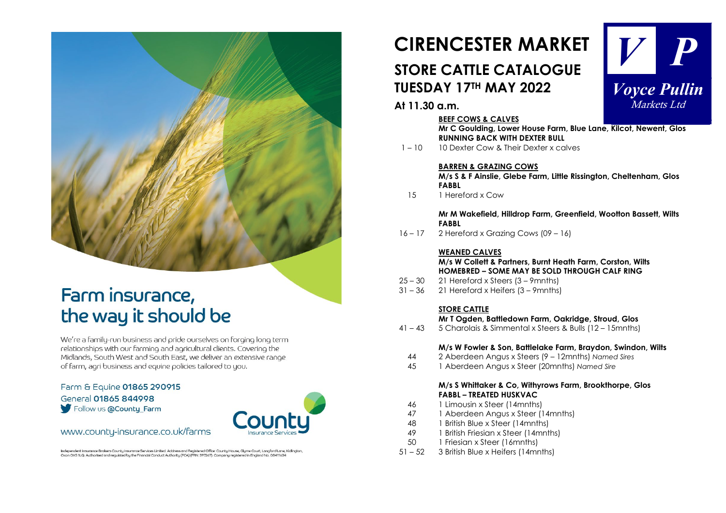## Farm insurance, the way it should be

We're a family-run business and pride ourselves on forging long term relationships with our farming and agricultural clients. Covering the Midlands, South West and South East, we deliver an extensive range of farm, agri business and equine policies tailored to you.

Farm & Equine 01865 290915 General 01865 844998 Follow us a County Farm



### www.county-insurance.co.uk/farms

Independent Insurance Brokers County Insurance Services Limited. Address and Registered Office: County House, Glyme Count, Langford Lane, Kidlington,<br>Oxon OX51LO Authorised and regulated by the Financial Conduct Authority

## **CIRENCESTER MARKET STORE CATTLE CATALOGUE TUESDAY 17TH MAY 2022**



### **At 11.30 a.m.**

#### **BEEF COWS & CALVES**

**Mr C Goulding, Lower House Farm, Blue Lane, Kilcot, Newent, Glos RUNNING BACK WITH DEXTER BULL**

1 – 10 10 Dexter Cow & Their Dexter x calves

#### **BARREN & GRAZING COWS**

**M/s S & F Ainslie, Glebe Farm, Little Rissington, Cheltenham, Glos FABBL**

15 1 Hereford x Cow

**Mr M Wakefield, Hilldrop Farm, Greenfield, Wootton Bassett, Wilts FABBL** 

16 – 17 2 Hereford x Grazing Cows (09 – 16)

#### **WEANED CALVES**

#### **M/s W Collett & Partners, Burnt Heath Farm, Corston, Wilts HOMEBRED – SOME MAY BE SOLD THROUGH CALF RING**

- 25 30 21 Hereford x Steers (3 9mnths)
- 31 36 21 Hereford x Heifers (3 9mnths)

### **STORE CATTLE**

#### **Mr T Ogden, Battledown Farm, Oakridge, Stroud, Glos**

41 – 43 5 Charolais & Simmental x Steers & Bulls (12 – 15mnths)

#### **M/s W Fowler & Son, Battlelake Farm, Braydon, Swindon, Wilts**

- 44 2 Aberdeen Angus x Steers (9 12mnths) *Named Sires*
- 45 1 Aberdeen Angus x Steer (20mnths) *Named Sire*

#### **M/s S Whittaker & Co, Withyrows Farm, Brookthorpe, Glos FABBL – TREATED HUSKVAC**

- 46 1 Limousin x Steer (14mnths)
- 47 1 Aberdeen Angus x Steer (14mnths)
- 48 1 British Blue x Steer (14mnths)
- 49 1 British Friesian x Steer (14mnths)<br>50 1 Friesian x Steer (16mnths)
- 1 Friesian x Steer (16mnths)
- 51 52 3 British Blue x Heifers (14mnths)